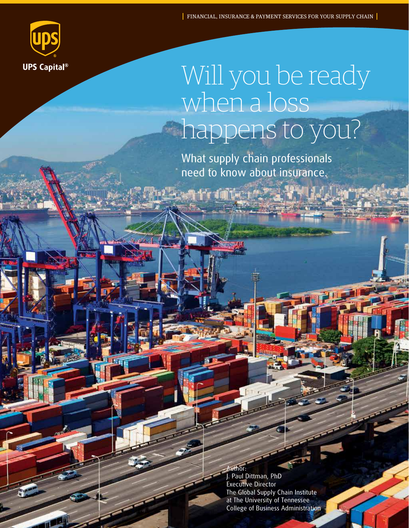

# Will you be ready when a loss happens to you?

What supply chain professionals need to know about insurance.

a thruimite a

**uthor:** J. Paul Dittman, PhD Executive Director The Global Supply Chain Institute at The University of Tennessee College of Business Administration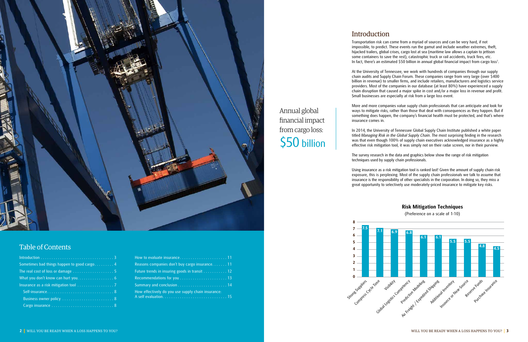Transportation risk can come from a myriad of sources and can be very hard, if not impossible, to predict. These events run the gamut and include weather extremes, theft, hijacked trailers, global crises, cargo lost at sea (maritime law allows a captain to jettison some containers to save the rest), catastrophic truck or rail accidents, truck fires, etc. In fact, there's an estimated \$50 billion in annual global financial impact from cargo loss<sup>1</sup>.

## Introduction

At the University of Tennessee, we work with hundreds of companies through our supply chain audits and Supply Chain Forum. These companies range from very large (over \$400 billion in revenue) to smaller firms, and include retailers, manufacturers and logistics service providers. Most of the companies in our database (at least 80%) have experienced a supply chain disruption that caused a major spike in cost and/or a major loss in revenue and profit. Small businesses are especially at risk from a large loss event.

More and more companies value supply chain professionals that can anticipate and look for ways to mitigate risks, rather than those that deal with consequences as they happen. But if something does happen, the company's financial health must be protected, and that's where

insurance comes in.

In 2014, the University of Tennessee Global Supply Chain Institute published a white paper titled *Managing Risk in the Global Supply Chain*. The most surprising finding in the research was that even though 100% of supply chain executives acknowledged insurance as a highly effective risk mitigation tool, it was simply not on their radar screen, nor in their purview.

| Reasons companies don't buy cargo insurance. 11    |
|----------------------------------------------------|
| Future trends in insuring goods in transit 12      |
|                                                    |
|                                                    |
| How effectively do you use supply chain insurance: |

The survey research in the data and graphics below show the range of risk mitigation techniques used by supply chain professionals.

Using insurance as a risk mitigation tool is ranked last! Given the amount of supply chain risk exposure, this is perplexing. Most of the supply chain professionals we talk to assume that insurance is the responsibility of other specialists in the corporation. In doing so, they miss a great opportunity to selectively use moderately-priced insurance to mitigate key risks.

| Sometimes bad things happen to good cargo 4 |
|---------------------------------------------|
|                                             |
|                                             |
| Insurance as a risk mitigation tool 7       |
|                                             |
| Business owner policy  8                    |
|                                             |

Annual global

financial impact

from cargo loss:

\$50 billion

### **Risk Mitigation Techniques**

(Preference on a scale of 1-10)





## Table of Contents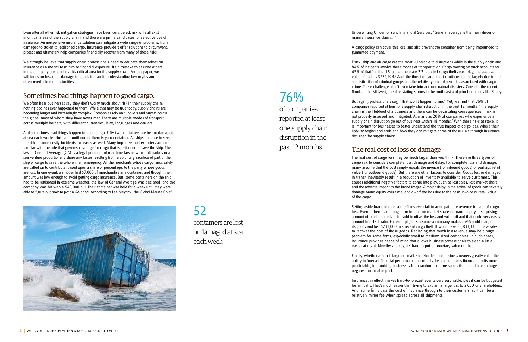Even after all other risk mitigation strategies have been considered, risk will still exist in critical areas of the supply chain, and those are prime candidates for selective use of insurance. An inexpensive insurance solution can mitigate a wide range of problems, from damaged to stolen to jettisoned cargo. Insurance providers offer solutions to circumvent, protect and ultimately help companies financially recover from many of these risks.

We often hear businesses say they don't worry much about risk in their supply chain; nothing bad has ever happened to them. While that may be true today, supply chains are becoming longer and increasingly complex. Companies rely on suppliers and buyers across the globe, most of whom they have never met. There are multiple modes of transport across multiple borders, with different currencies, laws, languages and carriers.

We strongly believe that supply chain professionals need to educate themselves on insurance as a means to minimize financial exposure. It's a mistake to assume others in the company are handling this critical area for the supply chain. For this paper, we will focus on loss of or damage to goods in transit, understanding key myths and often-overlooked opportunities.

## Sometimes bad things happen to good cargo.

And sometimes, bad things happen to good cargo. Fifty-two containers are lost or damaged at sea each week<sup>2</sup>. Not bad...until one of them is your container. As ships increase in size, the risk of more costly incidents increases as well. Many importers and exporters are not familiar with the rule that governs coverage for cargo that is jettisoned to save the ship. The law of General Average (GA) is a legal principle of maritime law in which all parties in a sea venture proportionally share any losses resulting from a voluntary sacrifice of part of the ship or cargo to save the whole in an emergency. All the merchants whose cargo lands safely are called on to contribute, based upon a share or percentage, to the party whose goods are lost. In one event, a shipper had \$7,000 of merchandise in a container, and thought the amount was low enough to avoid getting cargo insurance. But, some containers on the ship had to be jettisoned in extreme weather; the law of General Average was declared; and the company was hit with a \$45,000 bill. Their container was held for a week until they were able to figure out how to post a GA bond. According to Lee Meyrick, the Global Marine Chief



Underwriting Officer for Zurich Financial Services, "General average is the main driver of

marine insurance claims."3

A cargo policy can cover this loss, and also prevent the container from being impounded to

guarantee payment.

Truck, ship and air cargo are the most vulnerable to disruptions while in the supply chain and 84% of incidents involve these modes of transportation. Cargo moving by truck accounts for 43% of that.<sup>4</sup> In the U.S. alone, there are 2.2 reported cargo thefts each day; the average value of each is \$232,924.<sup>5</sup> And, the threat of cargo theft continues to rise largely due to the sophistication of criminal groups and the relatively limited penalties associated with cargo crime. These challenges don't even take into account natural disasters. Consider the recent floods in the Midwest, the devastating storms in the northeast and prior hurricanes like Sandy.

But again, professionals say, "That won't happen to me." Yet, we find that 76% of companies reported at least one supply chain disruption in the past 12 months.<sup>6</sup> The supply chain is the lifeblood of a business and there can be devastating consequences if risk is not properly assessed and mitigated. As many as 20% of companies who experience a supply chain disruption go out of business within 18 months.7 With these risks at stake, it is important for businesses to better understand the true impact of cargo loss, where their liability begins and ends and how they can mitigate some of those risks through insurance designed for supply chains.

### The real cost of loss or damage

The real cost of cargo loss may be much larger than you think. There are three types of cargo risk to consider: complete loss, damage and delay. For complete loss and damage, many assume that the cost simply equals the invoice (for inbound goods) or perhaps retail value (for outbound goods). But there are other factors to consider. Goods lost or damaged in transit inevitably result in a reduction of inventory available to serve customers. This causes additional negative factors to come into play, such as lost sales, lost market share and the adverse impact to the brand image. A major delay in the arrival of goods can severely damage brand equity over time, and dwarf the loss due to the basic invoice or retail value

of the cargo.

Setting aside brand image, some firms even fail to anticipate the revenue impact of cargo loss. Even if there is no long-term impact on market share or brand equity, a surprising amount of product needs to be sold to offset the loss and write-off and that could very easily amount to a 15:1 ratio. For example, let's assume a company makes a 6% profit margin on its goods and lost \$233,000 in a recent cargo theft. It would take \$3,833,333 in new sales to recover the cost of those goods. Replacing that much lost revenue may be a huge problem for some firms, especially small to medium-sized companies. In such cases, insurance provides peace of mind that allows business professionals to sleep a little easier at night. Needless to say, it's hard to put a monetary value on that.

Finally, whether a firm is large or small, shareholders and business owners greatly value the ability to forecast financial performance accurately. Insurance makes financial results more predictable, immunizing businesses from random extreme spikes that could have a huge negative financial impact.

Insurance, in effect, makes hard-to-forecast events very survivable, plus it can be budgeted for annually. That's much easier than trying to explain a large loss to a CEO or shareholders. And, some firms pass the cost of insurance through to their customers, as it can be a relatively minor fee when spread across all shipments.

76%

of companies

reported at least

one supply chain

disruption in the

past 12 months

52 containers are lost or damaged at sea each week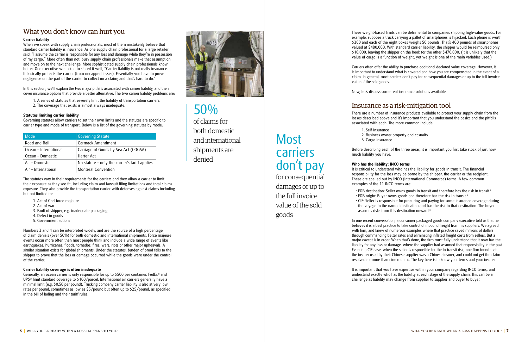## What you don't know can hurt you

### **Carrier liability**

When we speak with supply chain professionals, most of them mistakenly believe that standard carrier liability is insurance. As one supply chain professional for a large retailer said, "I assume the carrier is responsible for any loss and damage while they're in possession of my cargo." More often than not, busy supply chain professionals make that assumption and move on to the next challenge. More sophisticated supply chain professionals know better. One executive we talked to stated it well, "Carrier liability is not really insurance. It basically protects the carrier (from uncapped losses). Essentially you have to prove negligence on the part of the carrier to collect on a claim; and that's hard to do."

In this section, we'll explain the two major pitfalls associated with carrier liability, and then cover insurance options that provide a better alternative. The two carrier liability problems are:

- 1. A series of statutes that severely limit the liability of transportation carriers.
- 2. The coverage that exists is almost always inadequate.

### **Statutes limiting carrier liability**

Governing statutes allow carriers to set their own limits and the statutes are specific to carrier type and mode of transport. Below is a list of the governing statutes by mode:

| Mode                  | <b>Governing Statute</b>                       |
|-----------------------|------------------------------------------------|
| Road and Rail         | Carmack Amendment                              |
| Ocean - International | Carriage of Goods by Sea Act (COGSA)           |
| Ocean - Domestic      | Harter Act                                     |
| Air - Domestic        | No statute - only the carrier's tariff applies |
| Air – International   | <b>Montreal Convention</b>                     |

The statutes vary in their requirements for the carriers and they allow a carrier to limit their exposure as they see fit, including claim and lawsuit filing limitations and total claims exposure. They also provide the transportation carrier with defenses against claims including but not limited to:

1. Act of God-force majeure 2. Act of war 3. Fault of shipper, e.g. inadequate packaging 4. Defect in goods 5. Government actions

Numbers 3 and 4 can be interpreted widely, and are the source of a high percentage of claim denials (over 50%) for both domestic and international shipments. Force majeure events occur more often than most people think and include a wide range of events like earthquakes, hurricanes, floods, tornados, fires, wars, riots or other major upheavals. A similar situation exists for global shipments. Under the statutes, burden of proof falls to the shipper to prove that the loss or damage occurred while the goods were under the control of the carrier.

• CIF: Seller is responsible for procuring and paying for some insurance coverage during the voyage to the named destination and has the risk to that destination. The buyer assumes risks from this destination onward.iii

#### **Carrier liability coverage is often inadequate**

Generally, an ocean carrier is only responsible for up to \$500 per container. FedEx® and UPS® limit standard coverage to \$100/parcel. International air carriers generally have a minimal limit (e.g. \$0.50 per pound). Trucking company carrier liability is also at very low rates per pound, sometimes as low as \$5/pound but often up to \$25/pound, as specified in the bill of lading and their tariff rules.



**Most** carriers don't pay

These weight-based limits can be detrimental to companies shipping high-value goods. For example, suppose a truck carrying a pallet of smartphones is hijacked. Each phone is worth \$300 and each of the eight boxes weighs 50 pounds. That's 400 pounds of smartphones valued at \$480,000. With standard carrier liability, the shipper would be reimbursed only \$10,000, leaving the shipper on the hook for the other \$470,000. (It is unlikely that the value of cargo is a function of weight, yet weight is one of the main variables used.)

Carriers often offer the ability to purchase additional declared value coverage. However, it is important to understand what is covered and how you are compensated in the event of a claim. In general, most carriers don't pay for consequential damages or up to the full invoice value of the sold goods.

Now, let's discuss some real insurance solutions available.

## Insurance as a risk-mitigation tool

There are a number of insurance products available to protect your supply chain from the losses described above and it's important that you understand the basics and the pitfalls associated with each. The more common include:

2. Business owner property and casualty

- 1. Self-insurance
- 3. Cargo insurance

• FOB destination: Seller owns goods in transit and therefore has the risk in transit.<sup>i</sup> • FOB origin: Buyer owns goods and therefore has the risk in transit.<sup>ii</sup>

Before describing each of the three areas, it is important you first take stock of just how much liability you have.

### **Who has the liability: INCO terms**

It is critical to understand who has the liability for goods in transit. The financial responsibility for the loss may be borne by the shipper, the carrier or the recipient. These are spelled out by INCO (International Commerce) terms. A few common examples of the 11 INCO terms are:

- 
- 
- 

In one recent conversation, a consumer packaged goods company executive told us that he believes it is a best practice to take control of inbound freight from his suppliers. We agreed with him, and knew of numerous examples where that practice saved millions of dollars through commanding better rates and eliminating inflated freight costs from sellers. But a major caveat is in order. When that's done, the firm must fully understand that it now has the liability for any loss or damage, where the supplier had assumed that responsibility in the past. Even in a CIF case, when the seller is responsible for the in-transit risk, one firm found that the insurer used by their Chinese supplier was a Chinese insurer, and could not get the claim resolved for more than nine months. The key here is to know your terms and your insurer.

It is important that you have expertise within your company regarding INCO terms, and understand exactly who has the liability at each stage of the supply chain. This can be a challenge as liability may change from supplier to supplier and buyer to buyer.

for consequential damages or up to the full invoice value of the sold goods

50% of claims for both domestic and international shipments are

denied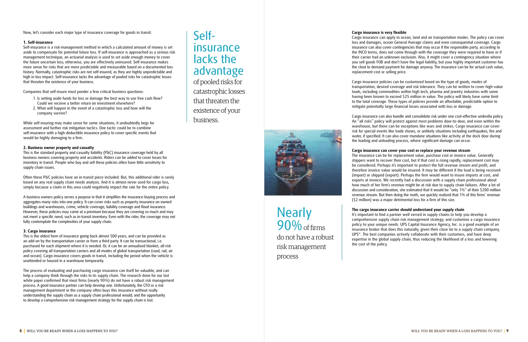Now, let's consider each major type of insurance coverage for goods in transit.

### **1. Self-insurance**

Self-insurance is a risk-management method in which a calculated amount of money is set aside to compensate for potential future loss. If self-insurance is approached as a serious risk management technique, an actuarial analysis is used to set aside enough money to cover the future uncertain loss; otherwise, you are effectively uninsured. Self-insurance makes more sense for risks that are more predictable and measurable based on a documented loss history. Normally, catastrophic risks are not self-insured, as they are highly unpredictable and high in loss impact. Self-insurance lacks the advantage of pooled risks for catastrophic losses that threaten the existence of your business.

Companies that self-insure must ponder a few critical business questions:

- 1. Is setting aside funds for loss or damage the best way to use free cash flow? Could we receive a better return on investment elsewhere?
- 2. What will happen in the event of a catastrophic loss and how will the company survive?

While self-insuring may make sense for some situations, it undoubtedly begs for assessment and further risk mitigation tactics. One tactic could be to combine self-insurance with a high-deductible insurance policy to cover specific events that would be highly damaging to a firm.

#### **2. Business owner property and casualty**

This is the standard property and casualty liability (P&C) insurance coverage held by all business owners covering property and accidents. Riders can be added to cover losses for inventory in transit. People who buy and sell these policies often have little sensitivity to supply chain issues.

Often these P&C policies have an in-transit piece included. But, this additional rider is rarely based on any real supply chain needs analysis. And it is almost never used for cargo loss, simply because a claim in this area could negatively impact the rate for the entire policy.

A business owners policy serves a purpose in that it simplifies the insurance-buying process and aggregates many risks into one policy. It can cover risks such as property insurance on owned buildings and warehouses, crime, vehicle coverage, liability coverage and flood insurance. However, these policies may come at a premium because they are covering so much and may not meet a specific need, such as in-transit inventory. Even with the rider, the coverage may not fully contemplate the complexities of your supply chain.

#### **3. Cargo insurance**

This is the oldest form of insurance going back almost 500 years, and can be provided as an add-on by the transportation carrier or from a third party. It can be transactional, i.e. purchased for each shipment where it is needed. Or, it can be an annualized blanket, all-risk policy covering all transportation carriers and all modes of global transportation (road, rail, air and ocean). Cargo insurance covers goods in transit, including the period when the vehicle is unattended or housed in a warehouse temporarily.

The process of evaluating and purchasing cargo insurance can itself be valuable, and can help a company think through the risks to its supply chain. The research done for our last white paper confirmed that most firms (nearly 90%) do not have a robust risk management process. A good insurance partner can help develop one. Unfortunately, the CFO or a risk management department in the company often buys this insurance without really understanding the supply chain as a supply chain professional would; and the opportunity to develop a comprehensive risk management strategy for the supply chain is lost.



Cargo insurance can apply to ocean, land and air transportation modes. The policy can cover loss and damages, ocean General Average claims and even consequential coverage. Cargo insurance can also cover contingencies that may occur if the responsible party, according to the INCO terms, does not come through with the coverage they were required to have or if their carrier had an unknown exclusion. Also, it might cover a contingency situation where you sell goods FOB and don't have the legal liability, but your highly important customer has the clout to demand payment for damage anyway. The insurance can be for actual cash value, replacement cost or selling price.

Cargo insurance policies can be customized based on the type of goods, modes of transportation, desired coverage and risk tolerance. They can be written to cover high-value loads, including commodities within high tech, pharma and jewelry industries with some having been known to exceed \$25 million in value. The policy will likely have some limit to the total coverage. These types of policies provide an affordable, predictable option to mitigate potentially large financial losses associated with loss or damage.

Cargo insurance can also bundle and consolidate risk under one cost-effective umbrella policy. An "all risks" policy will protect against most problems door-to-door, and even within the warehouse, but there can be exceptions like wars and strikes. Cargo insurance can cover risk for special events like trade shows, or unlikely situations including earthquakes, fire and water, if specified. It can also cover mundane situations like activity at the dock door during the loading and unloading process, where significant damage can occur.

### **Cargo insurance can cover your cost or replace your revenue stream**

The insurance can be for replacement value, purchase cost or invoice value. Generally shippers want to recover their cost, but if that cost is rising rapidly, replacement cost may be considered. Perhaps it's important to protect the full revenue stream and profit, and therefore invoice value would be insured. It may be different if the load is being received (import) or shipped (export). Perhaps the firm would want to insure imports at cost, and exports at invoice. We recently had a discussion with a supply chain professional about how much of her firm's revenue might be at risk due to supply chain failures. After a lot of discussion and consideration, she estimated that it would be "only 1%" of their \$200 million revenue stream. But then doing the math, we quickly realized that 1% of this firms' revenue (\$2 million) was a major detrimental loss for a firm of this size.

#### **The cargo insurance carrier should understand your supply chain**

It's important to find a partner well versed in supply chains to help you develop a comprehensive supply chain risk management strategy, and customize a cargo insurance policy to your unique needs. UPS Capital Insurance Agency, Inc. is a good example of an insurance broker that does this naturally, given their close tie to a supply chain company, UPS®. The best companies actively collaborate with their customers, and have deep expertise in the global supply chain, thus reducing the likelihood of a loss and lowering the cost of the policy.



**Nearly** 

do not have a robust

risk management

process

 $90\%$  of firms

# Selfinsurance lacks the advantage

of pooled risks for catastrophic losses that threaten the existence of your business.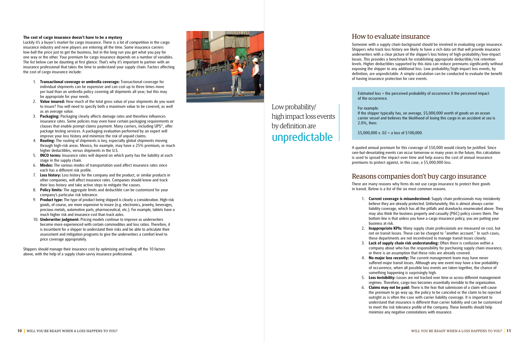#### **The cost of cargo insurance doesn't have to be a mystery**

Luckily it's a buyer's market for cargo insurance. There is a lot of competition in the cargo insurance industry and new players are entering all the time. Some insurance carriers low-ball the price just to get the business, but in the long run you get what you pay for one way or the other. Your premium for cargo insurance depends on a number of variables. The list below can be daunting at first glance. That's why it's important to partner with an insurance professional that takes the time to understand your supply chain. Factors affecting the cost of cargo insurance include:

- 1. **Transactional coverage or umbrella coverage:** Transactional coverage for individual shipments can be expensive and can cost up to three times more per load than an umbrella policy covering all shipments all year; but this may be appropriate for your needs.
- 2. **Value insured:** How much of the total gross value of your shipments do you want to insure? You will need to specify both a maximum value to be covered, as well as an average value.
- 3. **Packaging:** Packaging clearly affects damage rates and therefore influences insurance rates. Some policies may even have certain packaging requirements or clauses that enable prompt claims payment. Many carriers, including UPS ®, offer package testing services. A packaging evaluation performed by an expert will improve your loss history and minimize the risk of unpaid claims.
- 4. **Routing:** The routing of shipments is key, especially global shipments moving through high-risk areas. Mexico, for example, may have a 25% premium, or much higher deductibles, versus shipments in the U.S.
- 5. **INCO terms:** Insurance rates will depend on which party has the liability at each stage in the supply chain.
- 6. **Modes:** The various modes of transportation used affect insurance rates since each has a different risk profile.
- 7. **Loss history:** Loss history for the company and the product, or similar products in other companies, will affect insurance rates. Companies should know and track their loss history and take active steps to mitigate the causes.
- 8. **Policy limits:** The aggregate limits and deductible can be customized for your company's particular risk tolerance.
- 9. **Product type:** The type of product being shipped is clearly a consideration. High-risk goods, of course, are more expensive to insure (e.g. electronics, jewelry, beverages, precious metals, automotive parts, pharmaceutical, etc.). For example, tablets have a much higher risk and insurance cost than truck axles.
- 10. **Underwriter judgment:** Pricing models continue to improve as underwriters become more experienced with certain commodities and loss ratios. Therefore, it is incumbent for a shipper to understand their risks and be able to articulate their assessment and mitigation programs to give the underwriters a comfort level to price coverage appropriately.

Shippers should manage their insurance cost by optimizing and trading off the 10 factors above, with the help of a supply chain-savvy insurance professional.



### How to evaluate insurance

Someone with a supply chain background should be involved in evaluating cargo insurance. Shippers who track loss history are likely to have a rich data set that will provide insurance underwriters with a clear picture of the shipper's loss history of high-probability/low-impact losses. This provides a benchmark for establishing appropriate deductible/risk retention levels. Higher deductibles supported by this data can reduce premiums significantly without exposing the shipper to any additional loss. Low probability/high impact loss events, by definition, are unpredictable. A simple calculation can be conducted to evaluate the benefit of having insurance protection for rare events.

Estimated loss = the perceived probability of occurrence X the perceived impact

of the occurrence.

For example: 2.0%, then:

If the shipper typically has, on average, \$5,000,000 worth of goods on an ocean carrier vessel and believes the likelihood of losing this cargo in an accident at sea is

\$5,000,000 x .02 = a loss of \$100,000.

A quoted annual premium for this coverage of \$50,000 would clearly be justified. Since rare-but-devastating events can occur tomorrow or many years in the future, this calculation is used to spread the impact over time and help assess the cost of annual insurance premiums to protect against, in this case, a \$5,000,000 loss.

### Reasons companies don't buy cargo insurance

There are many reasons why firms do not use cargo insurance to protect their goods in transit. Below is a list of the six most common reasons.

1. **Current coverage is misunderstood:** Supply chain professionals may mistakenly believe they are already protected. Unfortunately, this is almost always carrier liability coverage, which has all the pitfalls and drawbacks enumerated above. They may also think the business property and casualty (P&C) policy covers them. The bottom line is that unless you have a cargo insurance policy, you are putting your

- business at risk.
- 
- 
- 
- -

2. **Inappropriate KPIs:** Many supply chain professionals are measured on cost, but not on transit losses. These can be charged to "another account." In such cases, these departments are not incentivized to manage transit losses closely.

3. **Lack of supply chain risk understanding:** Often there is confusion within a company about who has the responsibility for purchasing supply chain insurance, or there is an assumption that these risks are already covered.

4. **No major loss recently:** The current management team may have never suffered major transit losses. Although any one event may have a low probability of occurrence, when all possible loss events are taken together, the chance of something happening is surprisingly high.

5. **Loss invisibility:** Losses are not tracked over time or across different management regimes. Therefore, cargo loss becomes essentially invisible to the organization. 6. **Claims may not be paid:** There is the fear that submission of a claim will cause the premium to go way up, the policy to be canceled or the claim to be rejected outright as is often the case with carrier liability coverage. It is important to understand that insurance is different than carrier liability and can be customized to meet the risk tolerance profile of the company. These benefits should help minimize any negative connotations with insurance.

Low probability/ high impact loss events by definition are unpredictable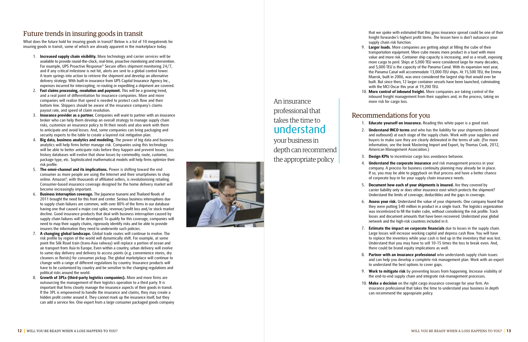



## Future trends in insuring goods in transit

What does the future hold for insuring goods in transit? Below is a list of 10 megatrends for insuring goods in transit, some of which are already apparent in the marketplace today.

- 1. **Increased supply chain visibility.** More technology and carrier services will be available to provide round-the-clock, real-time, proactive monitoring and intervention. For example, UPS Proactive Response ® Secure offers shipment monitoring 24/7, and if any critical milestone is not hit, alerts are sent to a global control tower. A team springs into action to retrieve the shipment and develop an alternative delivery strategy. With built-in insurance from UPS Capital Insurance Agency Inc., expenses incurred for intercepting, re-routing or expediting a shipment are covered.
- 2. **Fast claims processing, resolution and payment.** This will be a growing trend, and a real point of differentiation for insurance companies. More and more companies will realize that speed is needed to protect cash flow and their bottom line. Shippers should be aware of the insurance company's claims payout rate, and speed of claim resolution.
- 3. **Insurance provider as a partner.** Companies will want to partner with an insurance broker who can help them develop an overall strategy to manage supply chain risks, customize an insurance policy to fit their needs and also work with them to anticipate and avoid losses. And, some companies can bring packaging and security experts to the table to create a layered risk mitigation plan.
- 4. **Big data, business analytics and modeling.** The power of big data and business analytics will help firms better manage risk. Companies using this technology will be able to better anticipate risks before they happen and prevent losses. Loss history databases will evolve that show losses by commodity, route, customer, package type, etc. Sophisticated mathematical models will help firms optimize their risk profile.
- 5. **The omni-channel and its implications.** Power is shifting toward the end consumer as more people are using the Internet and their smartphones to shop online. Amazon ®, with thousands of affiliated sellers, is revolutionizing retailing. Consumer-based insurance coverage designed for the home delivery market will become increasingly important.
- 6. **Business interruption coverage.** The Japanese tsunami and Thailand floods of 2011 brought the need for this front and center. Serious business interruptions due to supply chain failures are common, with over 80% of the firms in our database having one that caused a major cost spike, revenue/profit loss and/or stock market decline. Good insurance products that deal with business interruption caused by supply chain failures will be developed. To qualify for this coverage, companies will need to map their supply chains, rigorously identify risks and be able to provide insurers the information they need to underwrite such policies.
- 7. **A changing global landscape.** Global trade routes will continue to evolve. The risk profile by region of the world will dynamically shift. For example, at some point the Silk Road train (trans-Asia railway) will replace a portion of ocean and air transport from Asia to Europe. Even within a country, urban delivery will evolve to same-day delivery and delivery to access points (e.g. convenience stores, dry cleaners or florists) for consumer pickup. The global marketplace will continue to change with a range of different regulations by country. Insurance products will have to be customized by country and be sensitive to the changing regulations and political risks around the world.
- 8. **Growth of 3PLs (third-party logistics companies).** More and more firms are outsourcing the management of their logistics operation to a third party. It is important that firms closely manage the insurance aspects of their goods in transit. If the 3PL is empowered to handle the insurance and claims, they may create a hidden profit center around it. They cannot mark up the insurance itself, but they can add a service fee. One expert from a large consumer packaged goods company

that we spoke with estimated that this gross insurance spread could be one of their freight forwarder's highest profit items. The lesson here is don't outsource your supply chain risk function.

9. **Larger loads.** More companies are getting adept at filling the cube of their transportation equipment. More cube means more product in a load with more value and more risk. Container ship capacity is increasing, and as a result, exposing more cargo to peril. Ships at 5,000 TEU were considered large for many decades, and 5,000 TEU is the capacity of the Panama Canal. With its expansion next year, the Panama Canal will accommodate 13,000-TEU ships. At 15,500 TEU, the Emma Maersk, built in 2006, was once considered the largest ship that would ever be built. But since then, 12 larger container vessels have been launched, culminating with the MCI Oscar this year at 19,200 TEU.

10. **More control of inbound freight.** More companies are taking control of the inbound freight management from their suppliers and, in the process, taking on

- 
- more risk for cargo loss.

- 
- 
- 
- 
- 
- 
- 
- -

### Recommendations for you

1. **Educate yourself on insurance.** Reading this white paper is a good start.

2. **Understand INCO terms** and who has the liability for your shipments (inbound and outbound) at each stage of the supply chain. Work with your suppliers and buyers to make sure they are clearly delineated in the terms of sale. (For more information, see the book Mastering Import and Export, by Thomas Cook, 2012, American Management Association.)

3. **Design KPIs** to incentivize cargo loss avoidance behavior.

4. **Understand the corporate insurance** and risk management process in your company. A process for business continuity planning may already be in place. If so, you may be able to piggyback on that process and have a better chance of corporate buy-in for your supply chain insurance needs.

5. **Document how each of your shipments is insured.** Are they covered by carrier liability only or does other insurance exist which protects the shipment? Understand the limits of coverage, deductibles and the gaps in coverage.

6. **Assess your risk.** Understand the value of your shipments. One company found that they were putting \$40 million in product in a single truck. The logistics organization was incentivized to fill the trailer cube, without considering the risk profile. Track losses and document amounts that have been recovered. Understand your global network and the high-risk countries included in it.

7. **Estimate the impact on corporate financials** due to losses in the supply chain. Large losses will increase working capital and depress cash flow. You will have to replace the inventory while your cash is tied up in the inventory that was lost. Understand that you may have to sell 10-15 times the loss to break even. And, there could be brand equity implications as well.

8. **Partner with an insurance professional** who understands supply chain issues and can help you develop a complete risk management plan. Work with an expert to understand the best options to cover gaps.

9. **Work to mitigate risk** by preventing losses from happening. Increase visibility of the end-to-end supply chain and integrate risk-management processes.

10. **Make a decision** on the right cargo insurance coverage for your firm. An insurance professional that takes the time to understand your business in depth can recommend the appropriate policy.

## An insurance professional that takes the time to understand

your business in depth can recommend the appropriate policy

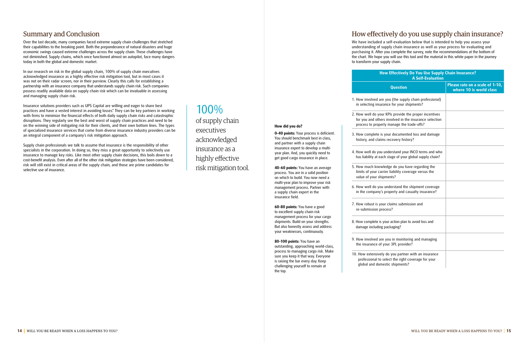### Summary and Conclusion

Over the last decade, many companies faced extreme supply chain challenges that stretched their capabilities to the breaking point. Both the preponderance of natural disasters and huge economic swings caused extreme challenges across the supply chain. These challenges have not diminished. Supply chains, which once functioned almost on autopilot, face many dangers today in both the global and domestic market.

In our research on risk in the global supply chain, 100% of supply chain executives acknowledged insurance as a highly effective risk mitigation tool, but in most cases it was not on their radar screen, nor in their purview. Clearly this calls for establishing a partnership with an insurance company that understands supply chain risk. Such companies possess readily available data on supply chain risk which can be invaluable in assessing and managing supply chain risk.

Insurance solutions providers such as UPS Capital are willing and eager to share best practices and have a vested interest in avoiding losses.\* They can be key partners in working with firms to minimize the financial effects of both daily supply chain risks and catastrophic disruptions. They regularly see the best and worst of supply chain practices and need to be on the winning side of mitigating risk for their clients, and their own bottom lines. The types of specialized insurance services that come from diverse insurance industry providers can be an integral component of a company's risk mitigation approach.

Supply chain professionals we talk to assume that insurance is the responsibility of other specialists in the corporation. In doing so, they miss a great opportunity to selectively use insurance to manage key risks. Like most other supply chain decisions, this boils down to a cost-benefit analysis. Even after all of the other risk mitigation strategies have been considered, risk will still exist in critical areas of the supply chain, and those are prime candidates for selective use of insurance.

## How effectively do you use supply chain insurance?

We have included a self-evaluation below that is intended to help you assess your understanding of supply chain insurance as well as your process for evaluating and purchasing it. After you complete the survey, note the recommendations at the bottom of the chart. We hope you will use this tool and the material in this white paper in the journey to transform your supply chain.

1. How involved are you in selecting insurance

2. How well do your KI for you and others in process to properly

3. How complete is you history, and claims re

4. How well do you und has liability at each st

5. How much knowleds limits of your carrier value of your shipme

6. How well do you und in the company's pro

7. How robust is your c re-submission proces

8. How complete is your damage including pack

9. How involved are yo the insurance of you

10. How extensively do professional to sele global and domesti

| How Effectively Do You Use Supply Chain Insurance?<br><b>A Self-Evaluation</b>                                   |                                                            |  |
|------------------------------------------------------------------------------------------------------------------|------------------------------------------------------------|--|
| <b>Question</b>                                                                                                  | Please rate on a scale of 1-10,<br>where 10 is world class |  |
| are you (the supply chain professional)<br>urance for your shipments?                                            |                                                            |  |
| our KPIs provide the proper incentives<br>ers involved in the insurance selection<br>erly manage the trade-offs? |                                                            |  |
| is your documented loss and damage<br>ims recovery history?                                                      |                                                            |  |
| ou understand your INCO terms and who<br>ach stage of your global supply chain?                                  |                                                            |  |
| wledge do you have regarding the<br>arrier liability coverage versus the<br>hipments?                            |                                                            |  |
| ou understand the shipment coverage<br>y's property and casualty insurance?                                      |                                                            |  |
| your claims submission and<br>process?                                                                           |                                                            |  |
| is your action plan to avoid loss and<br>ng packaging?                                                           |                                                            |  |
| are you in monitoring and managing<br>of your 3PL provider?                                                      |                                                            |  |
| ely do you partner with an insurance<br>o select the right coverage for your<br>mestic shipments?                |                                                            |  |

**How did you do?**

**0–40 points:** Your process is deficient. You should benchmark best in class, and partner with a supply chain insurance expert to develop a multiyear plan. And, you quickly need to get good cargo insurance in place.

**40-60 points:** You have an average process. You are in a solid position on which to build. You now need a multi-year plan to improve your risk management process. Partner with a supply chain expert in the

insurance field.

**60-80 points:** You have a good to excellent supply chain risk management process for your cargo shipments. Build on your strengths. But also honestly assess and address your weaknesses, continuously.

**80-100 points:** You have an

outstanding, approaching world-class, process to managing cargo risk. Make sure you keep it that way. Everyone is raising the bar every day. Keep challenging yourself to remain at

the top.

# 100%

of supply chain executives acknowledged insurance as a highly effective risk mitigation tool.